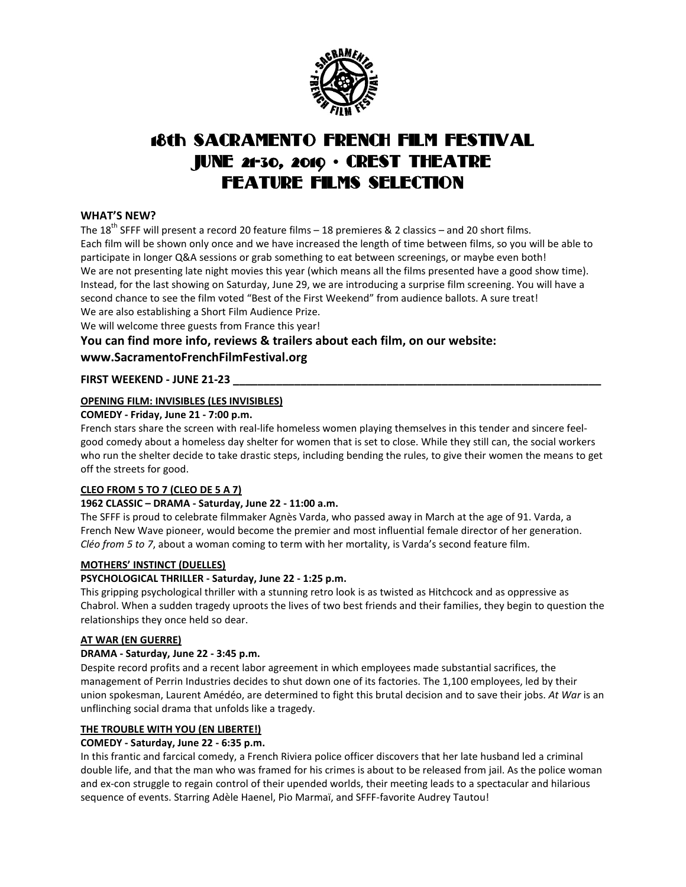

# 18th SACRAMENTO FRENCH FILM FESTIVAL JUNE 21-30, 2019 • CREST THEATRE FEATURE FILMS SELECTION

## **WHAT'S NEW?**

The 18<sup>th</sup> SFFF will present a record 20 feature films – 18 premieres & 2 classics – and 20 short films. Each film will be shown only once and we have increased the length of time between films, so you will be able to participate in longer Q&A sessions or grab something to eat between screenings, or maybe even both! We are not presenting late night movies this year (which means all the films presented have a good show time). Instead, for the last showing on Saturday, June 29, we are introducing a surprise film screening. You will have a second chance to see the film voted "Best of the First Weekend" from audience ballots. A sure treat! We are also establishing a Short Film Audience Prize.

We will welcome three guests from France this year!

## **You can find more info, reviews & trailers about each film, on our website: www.SacramentoFrenchFilmFestival.org**

## **FIRST WEEKEND - JUNE 21-23 \_\_\_\_\_\_\_\_\_\_\_\_\_\_\_\_\_\_\_\_\_\_\_\_\_\_\_\_\_\_\_\_\_\_\_\_\_\_\_\_\_\_\_\_\_\_\_\_\_\_\_\_\_\_\_\_\_\_\_\_**

## **OPENING FILM: INVISIBLES (LES INVISIBLES)**

## **COMEDY - Friday, June 21 - 7:00 p.m.**

French stars share the screen with real-life homeless women playing themselves in this tender and sincere feelgood comedy about a homeless day shelter for women that is set to close. While they still can, the social workers who run the shelter decide to take drastic steps, including bending the rules, to give their women the means to get off the streets for good.

## **CLEO FROM 5 TO 7 (CLEO DE 5 A 7)**

## **1962 CLASSIC – DRAMA - Saturday, June 22 - 11:00 a.m.**

The SFFF is proud to celebrate filmmaker Agnès Varda, who passed away in March at the age of 91. Varda, a French New Wave pioneer, would become the premier and most influential female director of her generation. *Cléo from 5 to 7*, about a woman coming to term with her mortality, is Varda's second feature film.

## **MOTHERS' INSTINCT (DUELLES)**

## **PSYCHOLOGICAL THRILLER - Saturday, June 22 - 1:25 p.m.**

This gripping psychological thriller with a stunning retro look is as twisted as Hitchcock and as oppressive as Chabrol. When a sudden tragedy uproots the lives of two best friends and their families, they begin to question the relationships they once held so dear.

#### **AT WAR (EN GUERRE)**

## **DRAMA - Saturday, June 22 - 3:45 p.m.**

Despite record profits and a recent labor agreement in which employees made substantial sacrifices, the management of Perrin Industries decides to shut down one of its factories. The 1,100 employees, led by their union spokesman, Laurent Amédéo, are determined to fight this brutal decision and to save their jobs. *At War* is an unflinching social drama that unfolds like a tragedy.

#### **THE TROUBLE WITH YOU (EN LIBERTE!)**

## **COMEDY - Saturday, June 22 - 6:35 p.m.**

In this frantic and farcical comedy, a French Riviera police officer discovers that her late husband led a criminal double life, and that the man who was framed for his crimes is about to be released from jail. As the police woman and ex-con struggle to regain control of their upended worlds, their meeting leads to a spectacular and hilarious sequence of events. Starring Adèle Haenel, Pio Marmaï, and SFFF-favorite Audrey Tautou!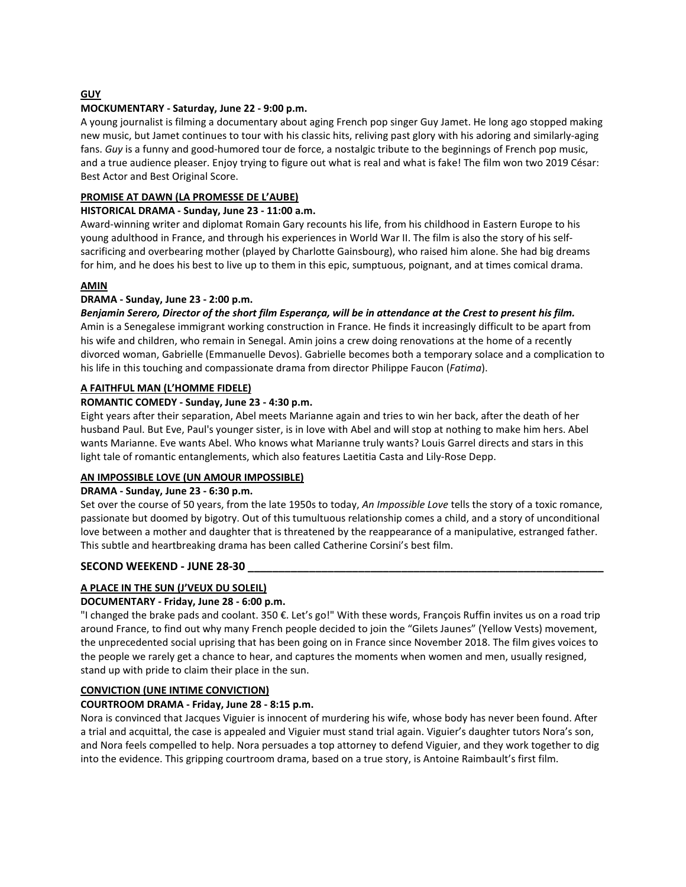## **GUY**

### **MOCKUMENTARY - Saturday, June 22 - 9:00 p.m.**

A young journalist is filming a documentary about aging French pop singer Guy Jamet. He long ago stopped making new music, but Jamet continues to tour with his classic hits, reliving past glory with his adoring and similarly-aging fans. *Guy* is a funny and good-humored tour de force, a nostalgic tribute to the beginnings of French pop music, and a true audience pleaser. Enjoy trying to figure out what is real and what is fake! The film won two 2019 César: Best Actor and Best Original Score.

#### **PROMISE AT DAWN (LA PROMESSE DE L'AUBE)**

#### **HISTORICAL DRAMA - Sunday, June 23 - 11:00 a.m.**

Award-winning writer and diplomat Romain Gary recounts his life, from his childhood in Eastern Europe to his young adulthood in France, and through his experiences in World War II. The film is also the story of his selfsacrificing and overbearing mother (played by Charlotte Gainsbourg), who raised him alone. She had big dreams for him, and he does his best to live up to them in this epic, sumptuous, poignant, and at times comical drama.

#### **AMIN**

#### **DRAMA - Sunday, June 23 - 2:00 p.m.**

Benjamin Serero, Director of the short film Esperança, will be in attendance at the Crest to present his film. Amin is a Senegalese immigrant working construction in France. He finds it increasingly difficult to be apart from his wife and children, who remain in Senegal. Amin joins a crew doing renovations at the home of a recently divorced woman, Gabrielle (Emmanuelle Devos). Gabrielle becomes both a temporary solace and a complication to his life in this touching and compassionate drama from director Philippe Faucon (*Fatima*).

### **A FAITHFUL MAN (L'HOMME FIDELE)**

#### **ROMANTIC COMEDY - Sunday, June 23 - 4:30 p.m.**

Eight years after their separation, Abel meets Marianne again and tries to win her back, after the death of her husband Paul. But Eve, Paul's younger sister, is in love with Abel and will stop at nothing to make him hers. Abel wants Marianne. Eve wants Abel. Who knows what Marianne truly wants? Louis Garrel directs and stars in this light tale of romantic entanglements, which also features Laetitia Casta and Lily-Rose Depp.

## **AN IMPOSSIBLE LOVE (UN AMOUR IMPOSSIBLE)**

#### **DRAMA - Sunday, June 23 - 6:30 p.m.**

Set over the course of 50 years, from the late 1950s to today, *An Impossible Love* tells the story of a toxic romance, passionate but doomed by bigotry. Out of this tumultuous relationship comes a child, and a story of unconditional love between a mother and daughter that is threatened by the reappearance of a manipulative, estranged father. This subtle and heartbreaking drama has been called Catherine Corsini's best film.

## **SECOND WEEKEND - JUNE 28-30 \_\_\_\_\_\_\_\_\_\_\_\_\_\_\_\_\_\_\_\_\_\_\_\_\_\_\_\_\_\_\_\_\_\_\_\_\_\_\_\_\_\_\_\_\_\_\_\_\_\_\_\_\_\_\_\_\_\_**

## **A PLACE IN THE SUN (J'VEUX DU SOLEIL)**

#### **DOCUMENTARY - Friday, June 28 - 6:00 p.m.**

"I changed the brake pads and coolant. 350 €. Let's go!" With these words, François Ruffin invites us on a road trip around France, to find out why many French people decided to join the "Gilets Jaunes" (Yellow Vests) movement, the unprecedented social uprising that has been going on in France since November 2018. The film gives voices to the people we rarely get a chance to hear, and captures the moments when women and men, usually resigned, stand up with pride to claim their place in the sun.

#### **CONVICTION (UNE INTIME CONVICTION)**

#### **COURTROOM DRAMA - Friday, June 28 - 8:15 p.m.**

Nora is convinced that Jacques Viguier is innocent of murdering his wife, whose body has never been found. After a trial and acquittal, the case is appealed and Viguier must stand trial again. Viguier's daughter tutors Nora's son, and Nora feels compelled to help. Nora persuades a top attorney to defend Viguier, and they work together to dig into the evidence. This gripping courtroom drama, based on a true story, is Antoine Raimbault's first film.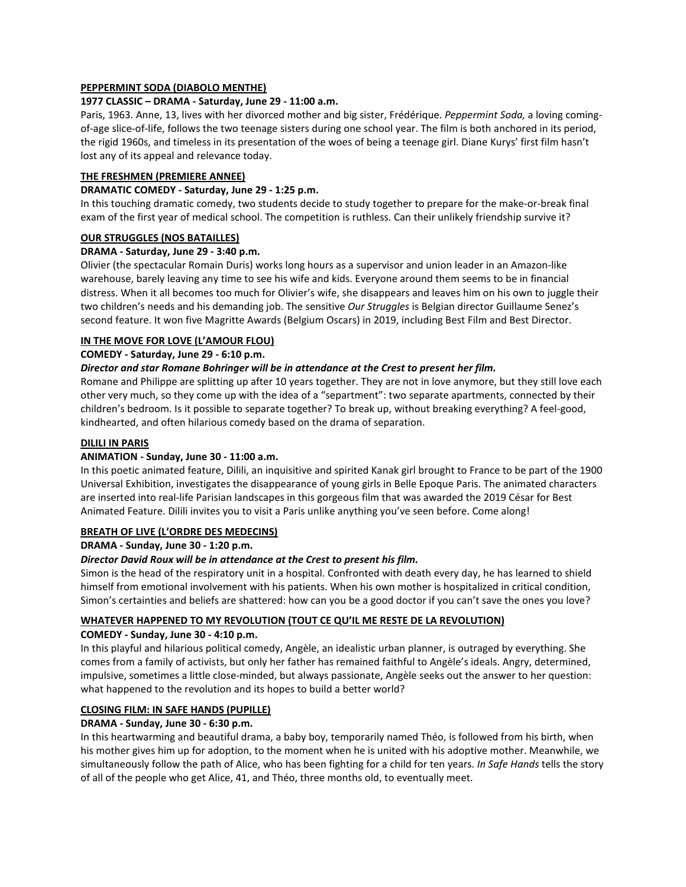### **PEPPERMINT SODA (DIABOLO MENTHE)**

#### **1977 CLASSIC – DRAMA - Saturday, June 29 - 11:00 a.m.**

Paris, 1963. Anne, 13, lives with her divorced mother and big sister, Frédérique. *Peppermint Soda,* a loving comingof-age slice-of-life, follows the two teenage sisters during one school year. The film is both anchored in its period, the rigid 1960s, and timeless in its presentation of the woes of being a teenage girl. Diane Kurys' first film hasn't lost any of its appeal and relevance today.

#### **THE FRESHMEN (PREMIERE ANNEE)**

## **DRAMATIC COMEDY - Saturday, June 29 - 1:25 p.m.**

In this touching dramatic comedy, two students decide to study together to prepare for the make-or-break final exam of the first year of medical school. The competition is ruthless. Can their unlikely friendship survive it?

#### **OUR STRUGGLES (NOS BATAILLES)**

#### **DRAMA - Saturday, June 29 - 3:40 p.m.**

Olivier (the spectacular Romain Duris) works long hours as a supervisor and union leader in an Amazon-like warehouse, barely leaving any time to see his wife and kids. Everyone around them seems to be in financial distress. When it all becomes too much for Olivier's wife, she disappears and leaves him on his own to juggle their two children's needs and his demanding job. The sensitive *Our Struggles* is Belgian director Guillaume Senez's second feature. It won five Magritte Awards (Belgium Oscars) in 2019, including Best Film and Best Director.

## **IN THE MOVE FOR LOVE (L'AMOUR FLOU)**

#### **COMEDY - Saturday, June 29 - 6:10 p.m.**

#### *Director and star Romane Bohringer will be in attendance at the Crest to present her film.*

Romane and Philippe are splitting up after 10 years together. They are not in love anymore, but they still love each other very much, so they come up with the idea of a "separtment": two separate apartments, connected by their children's bedroom. Is it possible to separate together? To break up, without breaking everything? A feel-good, kindhearted, and often hilarious comedy based on the drama of separation.

### **DILILI IN PARIS**

#### **ANIMATION - Sunday, June 30 - 11:00 a.m.**

In this poetic animated feature, Dilili, an inquisitive and spirited Kanak girl brought to France to be part of the 1900 Universal Exhibition, investigates the disappearance of young girls in Belle Epoque Paris. The animated characters are inserted into real-life Parisian landscapes in this gorgeous film that was awarded the 2019 César for Best Animated Feature. Dilili invites you to visit a Paris unlike anything you've seen before. Come along!

#### **BREATH OF LIVE (L'ORDRE DES MEDECINS)**

#### **DRAMA - Sunday, June 30 - 1:20 p.m.**

## *Director David Roux will be in attendance at the Crest to present his film.*

Simon is the head of the respiratory unit in a hospital. Confronted with death every day, he has learned to shield himself from emotional involvement with his patients. When his own mother is hospitalized in critical condition, Simon's certainties and beliefs are shattered: how can you be a good doctor if you can't save the ones you love?

#### **WHATEVER HAPPENED TO MY REVOLUTION (TOUT CE QU'IL ME RESTE DE LA REVOLUTION)**

#### **COMEDY - Sunday, June 30 - 4:10 p.m.**

In this playful and hilarious political comedy, Angèle, an idealistic urban planner, is outraged by everything. She comes from a family of activists, but only her father has remained faithful to Angèle's ideals. Angry, determined, impulsive, sometimes a little close-minded, but always passionate, Angèle seeks out the answer to her question: what happened to the revolution and its hopes to build a better world?

## **CLOSING FILM: IN SAFE HANDS (PUPILLE)**

#### **DRAMA - Sunday, June 30 - 6:30 p.m.**

In this heartwarming and beautiful drama, a baby boy, temporarily named Théo, is followed from his birth, when his mother gives him up for adoption, to the moment when he is united with his adoptive mother. Meanwhile, we simultaneously follow the path of Alice, who has been fighting for a child for ten years. *In Safe Hands* tells the story of all of the people who get Alice, 41, and Théo, three months old, to eventually meet.